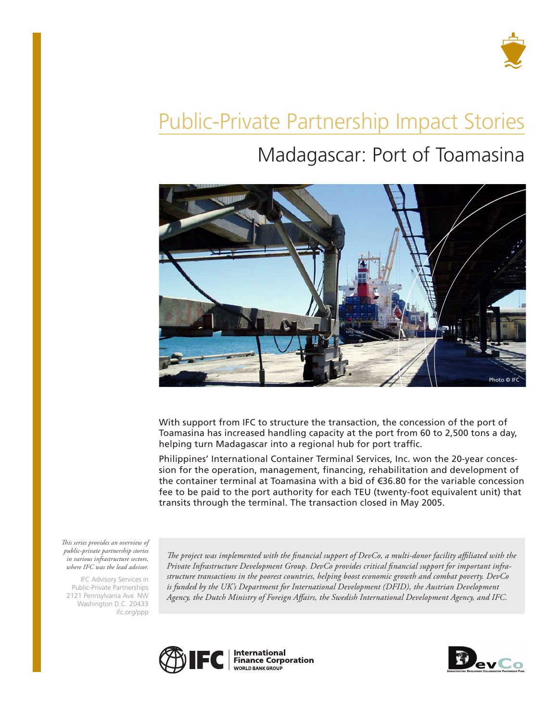

# Public-Private Partnership Impact Stories

## Madagascar: Port of Toamasina



With support from IFC to structure the transaction, the concession of the port of Toamasina has increased handling capacity at the port from 60 to 2,500 tons a day, helping turn Madagascar into a regional hub for port traffic.

Philippines' International Container Terminal Services, Inc. won the 20-year concession for the operation, management, financing, rehabilitation and development of the container terminal at Toamasina with a bid of €36.80 for the variable concession fee to be paid to the port authority for each TEU (twenty-foot equivalent unit) that transits through the terminal. The transaction closed in May 2005.

*This series provides an overview of public-private partnership stories in various infrastructure sectors, where IFC was the lead advisor.* 

IFC Advisory Services in Public-Private Partnerships 2121 Pennsylvania Ave. NW Washington D.C. 20433 ifc.org/ppp

*The project was implemented with the financial support of DevCo, a multi-donor facility affiliated with the Private Infrastructure Development Group. DevCo provides critical financial support for important infrastructure transactions in the poorest countries, helping boost economic growth and combat poverty. DevCo*  is funded by the UK's Department for International Development (DFID), the Austrian Development *Agency, the Dutch Ministry of Foreign Affairs, the Swedish International Development Agency, and IFC.*